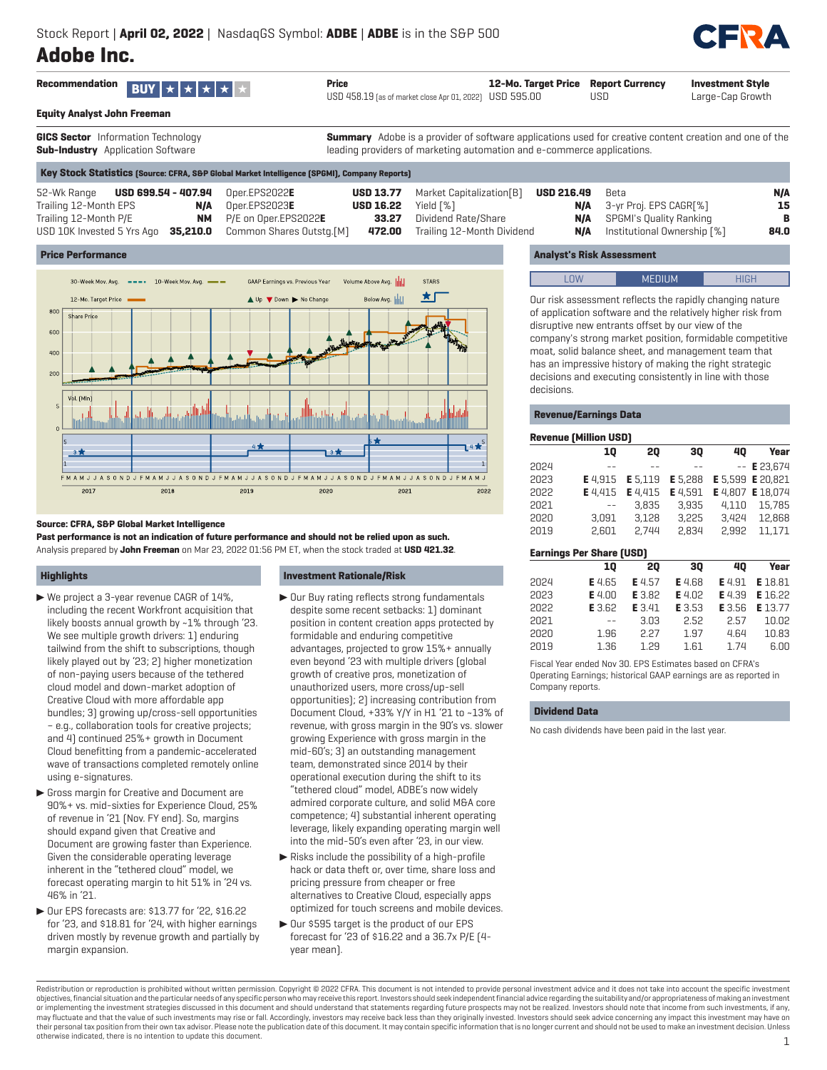# **Adobe Inc.**



**Equity Analyst John Freeman**

**GICS Sector** Information Technology **Sub-Industry** Application Software

**Summary** Adobe is a provider of software applications used for creative content creation and one of the leading providers of marketing automation and e-commerce applications.

|                                                      |     | Key Stock Statistics [Source: CFRA, S&P Global Market Intelligence [SPGMI], Company Reports] |           |                                            |            |                                                      |            |
|------------------------------------------------------|-----|----------------------------------------------------------------------------------------------|-----------|--------------------------------------------|------------|------------------------------------------------------|------------|
| 52-Wk Range <b>USD 699.54 - 407.94</b> Oper.EPS2022E |     |                                                                                              |           | <b>USD 13.77</b> Market Capitalization [B] | USD 216.49 | Beta                                                 | <b>N/A</b> |
| Trailing 12-Month EPS                                | N/A | Oper.EPS2023 <b>E</b>                                                                        | USD 16.22 | Yield [%]                                  |            | <b>N/A</b> 3-yr Proj. EPS CAGR[%]                    | 15         |
| Trailing 12-Month P/E                                |     | $NM$ $P/E$ on Oper.EPS2022E                                                                  |           | <b>33.27</b> Dividend Rate/Share           |            | <b>N/A</b> SPGMI's Quality Ranking                   |            |
| USD 10K Invested 5 Yrs Ago                           |     | $35,210.0$ Common Shares Outstg.[M]                                                          |           | 472.00 Trailing 12-Month Dividend          |            | <b>N/A</b> Institutional Ownership $\lceil % \rceil$ | 84.0       |

## **Price Performance**



## **Source: CFRA, S&P Global Market Intelligence**

**Past performance is not an indication of future performance and should not be relied upon as such.** Analysis prepared by **John Freeman** on Mar 23, 2022 01:56 PM ET, when the stock traded at **USD 421.32**.

## **Highlights**

- $\blacktriangleright$  We project a 3-year revenue CAGR of 14%, including the recent Workfront acquisition that likely boosts annual growth by ~1% through '23. We see multiple growth drivers: 1) enduring tailwind from the shift to subscriptions, though likely played out by '23; 2) higher monetization of non-paying users because of the tethered cloud model and down-market adoption of Creative Cloud with more affordable app bundles; 3) growing up/cross-sell opportunities – e.g., collaboration tools for creative projects; and 4) continued 25%+ growth in Document Cloud benefitting from a pandemic-accelerated wave of transactions completed remotely online using e-signatures.
- Gross margin for Creative and Document are 90%+ vs. mid-sixties for Experience Cloud, 25% of revenue in '21 (Nov. FY end). So, margins should expand given that Creative and Document are growing faster than Experience. Given the considerable operating leverage inherent in the "tethered cloud" model, we forecast operating margin to hit 51% in '24 vs. 46% in '21.
- $\blacktriangleright$  Our EPS forecasts are: \$13.77 for '22, \$16.22 for '23, and \$18.81 for '24, with higher earnings driven mostly by revenue growth and partially by margin expansion.

## **Investment Rationale/Risk**

- $\blacktriangleright$  Our Buy rating reflects strong fundamentals despite some recent setbacks: 1) dominant position in content creation apps protected by formidable and enduring competitive advantages, projected to grow 15%+ annually even beyond '23 with multiple drivers (global growth of creative pros, monetization of unauthorized users, more cross/up-sell opportunities); 2) increasing contribution from Document Cloud, +33% Y/Y in H1 '21 to ~13% of revenue, with gross margin in the 90's vs. slower growing Experience with gross margin in the mid-60's; 3) an outstanding management team, demonstrated since 2014 by their operational execution during the shift to its "tethered cloud" model, ADBE's now widely admired corporate culture, and solid M&A core competence; 4) substantial inherent operating leverage, likely expanding operating margin well into the mid-50's even after '23, in our view.
- $\blacktriangleright$  Risks include the possibility of a high-profile hack or data theft or, over time, share loss and pricing pressure from cheaper or free alternatives to Creative Cloud, especially apps optimized for touch screens and mobile devices.
- ▶ Our \$595 target is the product of our EPS forecast for '23 of \$16.22 and a 36.7x P/E (4 year mean).

## **Analyst's Risk Assessment**

| . On another the property constructed to the control of the control of the control of the control of the control of the control of the control of the control of the control of the control of the control of the control of t |  |
|--------------------------------------------------------------------------------------------------------------------------------------------------------------------------------------------------------------------------------|--|

Our risk assessment reflects the rapidly changing nature of application software and the relatively higher risk from disruptive new entrants offset by our view of the company's strong market position, formidable competitive moat, solid balance sheet, and management team that has an impressive history of making the right strategic decisions and executing consistently in line with those decisions.

## **Revenue/Earnings Data**

|      | <b>Revenue [Million USD]</b> |         |         |       |                      |
|------|------------------------------|---------|---------|-------|----------------------|
|      | 10                           | 20      | 30      | 40    | Year                 |
| 2024 |                              |         |         |       | $--$ <b>E</b> 23.674 |
| 2023 | E 4.915                      | E 5.119 | E 5.288 |       | E 5,599 E 20,821     |
| 2022 | E 4.415                      | E 4.415 | E 4.591 |       | E 4,807 E 18,074     |
| 2021 |                              | 3.835   | 3.935   | 4.110 | 15.785               |
| 2020 | 3.091                        | 3.128   | 3.225   | 3.424 | 12.868               |
| 2019 | 2.601                        | 2.744   | 2.834   | 2.992 | 11.171               |

| <b>Earnings Per Share (USD)</b> |          |        |               |        |         |  |  |  |  |  |  |
|---------------------------------|----------|--------|---------------|--------|---------|--|--|--|--|--|--|
|                                 | 10       | 20     | 30            | 40     | Year    |  |  |  |  |  |  |
| 2024                            | E 4.65   | E 4.57 | <b>E</b> 4.68 | E 4.91 | E 18.81 |  |  |  |  |  |  |
| 2023                            | $E$ 4.00 | E 3.82 | E 4.02        | E 4.39 | E 16.22 |  |  |  |  |  |  |
| 2022                            | E 3.62   | E 3.41 | E 3.53        | E 3.56 | E 13.77 |  |  |  |  |  |  |
| 2021                            | - -      | 3.03   | 2.52          | 2.57   | 10.02   |  |  |  |  |  |  |
| 2020                            | 1.96     | 2.27   | 1.97          | 4.64   | 10.83   |  |  |  |  |  |  |
| 2019                            | 1.36     | 1.29   | 1.61          | 1.74   | 6.00    |  |  |  |  |  |  |

Fiscal Year ended Nov 30. EPS Estimates based on CFRA's Operating Earnings; historical GAAP earnings are as reported in Company reports.

## **Dividend Data**

No cash dividends have been paid in the last year.

Redistribution or reproduction is prohibited without written permission. Copyright © 2022 CFRA. This document is not intended to provide personal investment advice and it does not take into account the specific investment objectives, financial situation and the particular needs of any specific person who may receive this report. Investors should seek independent financial advice regarding the suitability and/or appropriateness of making an or implementing the investment strategies discussed in this document and should understand that statements regarding future prospects may not be realized. Investors should note that income from such investments, if any, may fluctuate and that the value of such investments may rise or fall. Accordingly, investors may receive back less than they originally invested. Investors should seek advice concerning any impact this investment may have their personal tax position from their own tax advisor. Please note the publication date of this document. It may contain specific information that is no longer current and should not be used to make an investment decision otherwise indicated, there is no intention to update this document. 1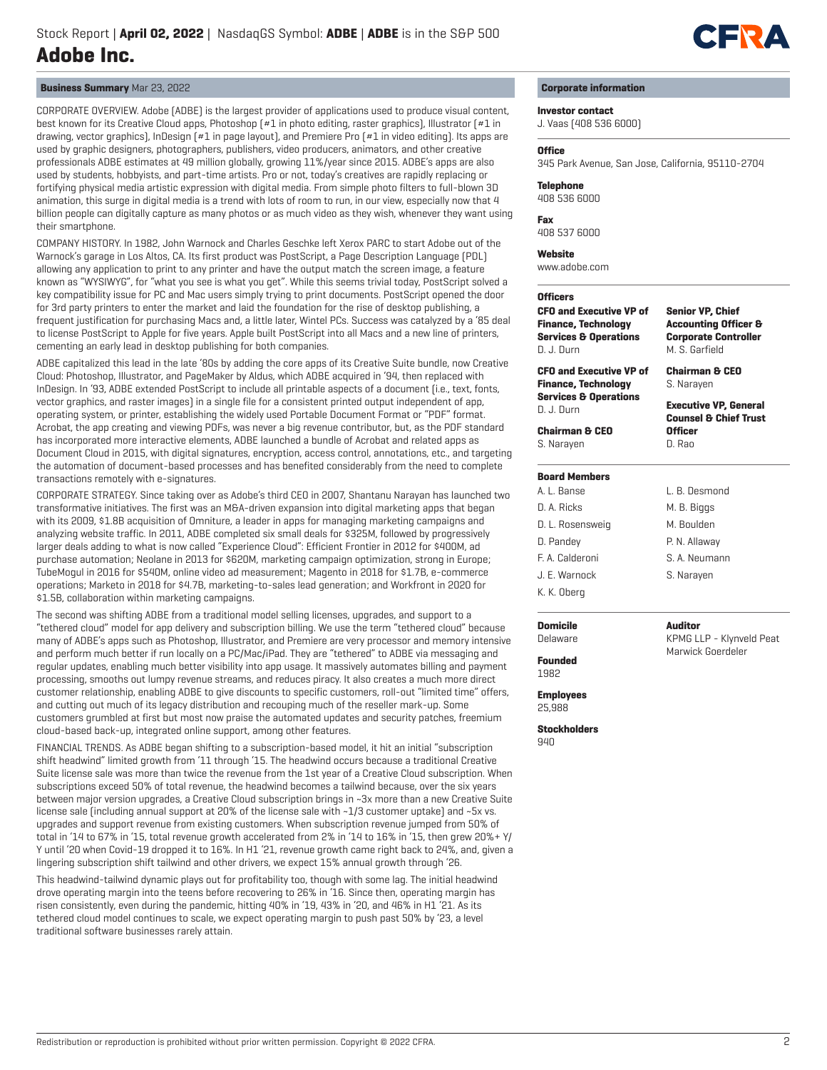

## **Business Summary** Mar 23, 2022

CORPORATE OVERVIEW. Adobe (ADBE) is the largest provider of applications used to produce visual content, best known for its Creative Cloud apps, Photoshop (#1 in photo editing, raster graphics), Illustrator (#1 in drawing, vector graphics), InDesign (#1 in page layout), and Premiere Pro (#1 in video editing). Its apps are used by graphic designers, photographers, publishers, video producers, animators, and other creative professionals ADBE estimates at 49 million globally, growing 11%/year since 2015. ADBE's apps are also used by students, hobbyists, and part-time artists. Pro or not, today's creatives are rapidly replacing or fortifying physical media artistic expression with digital media. From simple photo filters to full-blown 3D animation, this surge in digital media is a trend with lots of room to run, in our view, especially now that 4 billion people can digitally capture as many photos or as much video as they wish, whenever they want using their smartphone.

COMPANY HISTORY. In 1982, John Warnock and Charles Geschke left Xerox PARC to start Adobe out of the Warnock's garage in Los Altos, CA. Its first product was PostScript, a Page Description Language (PDL) allowing any application to print to any printer and have the output match the screen image, a feature known as "WYSIWYG", for "what you see is what you get". While this seems trivial today, PostScript solved a key compatibility issue for PC and Mac users simply trying to print documents. PostScript opened the door for 3rd party printers to enter the market and laid the foundation for the rise of desktop publishing, a frequent justification for purchasing Macs and, a little later, Wintel PCs. Success was catalyzed by a '85 deal to license PostScript to Apple for five years. Apple built PostScript into all Macs and a new line of printers, cementing an early lead in desktop publishing for both companies.

ADBE capitalized this lead in the late '80s by adding the core apps of its Creative Suite bundle, now Creative Cloud: Photoshop, Illustrator, and PageMaker by Aldus, which ADBE acquired in '94, then replaced with InDesign. In '93, ADBE extended PostScript to include all printable aspects of a document (i.e., text, fonts, vector graphics, and raster images) in a single file for a consistent printed output independent of app, operating system, or printer, establishing the widely used Portable Document Format or "PDF" format. Acrobat, the app creating and viewing PDFs, was never a big revenue contributor, but, as the PDF standard has incorporated more interactive elements, ADBE launched a bundle of Acrobat and related apps as Document Cloud in 2015, with digital signatures, encryption, access control, annotations, etc., and targeting the automation of document-based processes and has benefited considerably from the need to complete transactions remotely with e-signatures.

CORPORATE STRATEGY. Since taking over as Adobe's third CEO in 2007, Shantanu Narayan has launched two transformative initiatives. The first was an M&A-driven expansion into digital marketing apps that began with its 2009, \$1.8B acquisition of Omniture, a leader in apps for managing marketing campaigns and analyzing website traffic. In 2011, ADBE completed six small deals for \$325M, followed by progressively larger deals adding to what is now called "Experience Cloud": Efficient Frontier in 2012 for \$400M, ad purchase automation; Neolane in 2013 for \$620M, marketing campaign optimization, strong in Europe; TubeMogul in 2016 for \$540M, online video ad measurement; Magento in 2018 for \$1.7B, e-commerce operations; Marketo in 2018 for \$4.7B, marketing-to-sales lead generation; and Workfront in 2020 for \$1.5B, collaboration within marketing campaigns.

The second was shifting ADBE from a traditional model selling licenses, upgrades, and support to a "tethered cloud" model for app delivery and subscription billing. We use the term "tethered cloud" because many of ADBE's apps such as Photoshop, Illustrator, and Premiere are very processor and memory intensive and perform much better if run locally on a PC/Mac/iPad. They are "tethered" to ADBE via messaging and regular updates, enabling much better visibility into app usage. It massively automates billing and payment processing, smooths out lumpy revenue streams, and reduces piracy. It also creates a much more direct customer relationship, enabling ADBE to give discounts to specific customers, roll-out "limited time" offers, and cutting out much of its legacy distribution and recouping much of the reseller mark-up. Some customers grumbled at first but most now praise the automated updates and security patches, freemium cloud-based back-up, integrated online support, among other features.

FINANCIAL TRENDS. As ADBE began shifting to a subscription-based model, it hit an initial "subscription shift headwind" limited growth from '11 through '15. The headwind occurs because a traditional Creative Suite license sale was more than twice the revenue from the 1st year of a Creative Cloud subscription. When subscriptions exceed 50% of total revenue, the headwind becomes a tailwind because, over the six years between major version upgrades, a Creative Cloud subscription brings in ~3x more than a new Creative Suite license sale (including annual support at 20% of the license sale with ~1/3 customer uptake) and ~5x vs. upgrades and support revenue from existing customers. When subscription revenue jumped from 50% of total in '14 to 67% in '15, total revenue growth accelerated from 2% in '14 to 16% in '15, then grew 20%+ Y/ Y until '20 when Covid-19 dropped it to 16%. In H1 '21, revenue growth came right back to 24%, and, given a lingering subscription shift tailwind and other drivers, we expect 15% annual growth through '26.

This headwind-tailwind dynamic plays out for profitability too, though with some lag. The initial headwind drove operating margin into the teens before recovering to 26% in '16. Since then, operating margin has risen consistently, even during the pandemic, hitting 40% in '19, 43% in '20, and 46% in H1 '21. As its tethered cloud model continues to scale, we expect operating margin to push past 50% by '23, a level traditional software businesses rarely attain.

## **Corporate information**

## **Investor contact**

J. Vaas (408 536 6000)

### **Office**

345 Park Avenue, San Jose, California, 95110-2704

#### **Telephone**

408 536 6000

**Fax** 408 537 6000

#### **Website**

www.adobe.com

## **Officers**

**CFO and Executive VP of Finance, Technology Services & Operations** D. J. Durn **CFO and Executive VP of Finance, Technology Services & Operations** D. J. Durn **Chairman & CEO** S. Narayen **Senior VP, Chief Accounting Officer & Corporate Controller** M. S. Garfield **Chairman & CEO** S. Narayen **Executive VP, General Counsel & Chief Trust Officer** D. Rao

## **Board Members**

| A. L. Banse      | L. R. Desmond |
|------------------|---------------|
| D. A. Ricks      | M. B. Biggs   |
| D. L. Rosensweig | M. Boulden    |
| D. Pandey        | P. N. Allaway |
| F. A. Calderoni  | S. A. Neumann |
| J. E. Warnock    | S. Narayen    |
| K. K. Oberg      |               |

## **Domicile**

KPMG LLP - Klynveld Peat Marwick Goerdeler

**Auditor**

Delaware **Founded** 1982

**Employees**

25,988

**Stockholders** 940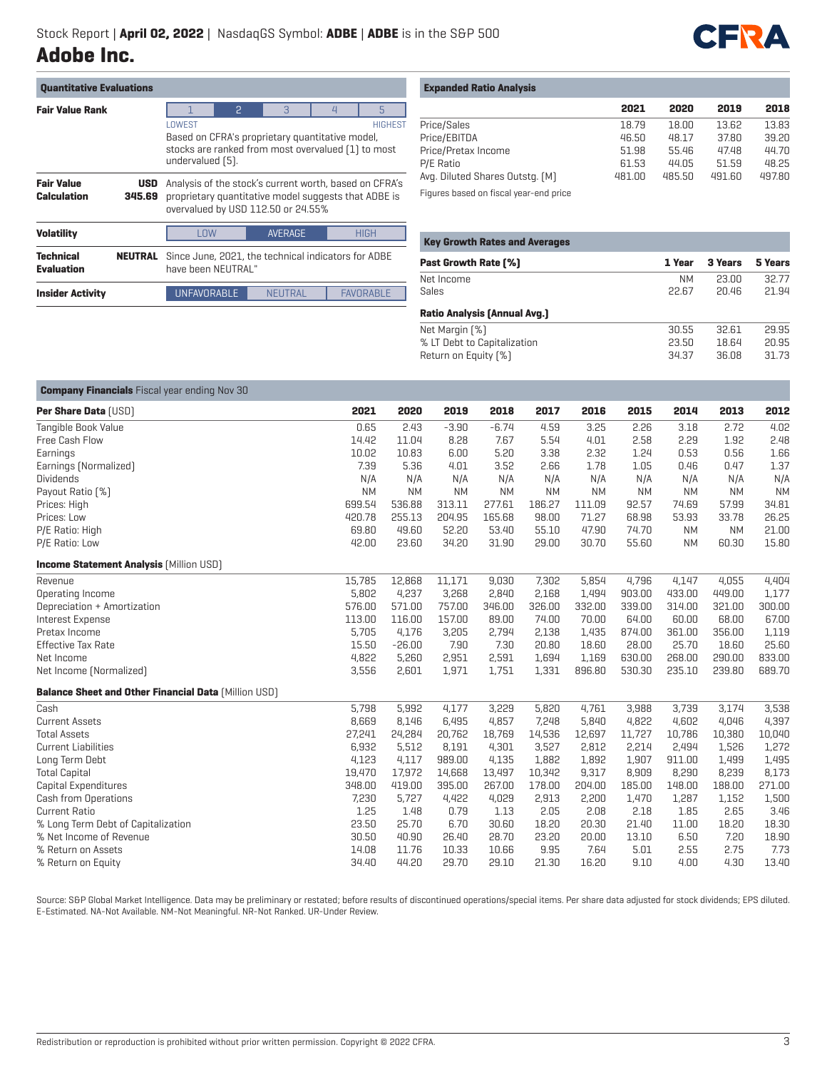

| <b>Quantitative Evaluations</b>       |                      |                                                                                                                                                      |   |               |                |                |  |
|---------------------------------------|----------------------|------------------------------------------------------------------------------------------------------------------------------------------------------|---|---------------|----------------|----------------|--|
| <b>Fair Value Rank</b>                |                      |                                                                                                                                                      | 2 | $\mathcal{B}$ | $\overline{4}$ | 5              |  |
|                                       |                      | LOWEST<br>Based on CFRA's proprietary quantitative model,<br>stocks are ranked from most overvalued [1] to most<br>undervalued [5].                  |   |               |                | <b>HIGHEST</b> |  |
| <b>Fair Value</b><br>Calculation      | <b>USD</b><br>345.69 | Analysis of the stock's current worth, based on CFRA's<br>proprietary quantitative model suggests that ADBE is<br>overvalued by USD 112.50 or 24.55% |   |               |                |                |  |
| <b>Volatility</b>                     |                      | <b>AVERAGE</b><br><b>HIGH</b><br>I NW                                                                                                                |   |               |                |                |  |
| <b>Technical</b><br><b>Evaluation</b> | NEUTRAL              | Since June, 2021, the technical indicators for ADBE<br>have heen NELITRAL"                                                                           |   |               |                |                |  |
| <b>Insider Activity</b>               |                      | <b>UNFAVORABLE</b><br><b>FAVORABLE</b><br>NEUTRAL                                                                                                    |   |               |                |                |  |

| <b>Expanded Ratio Analysis</b> |  |  |  |
|--------------------------------|--|--|--|
|--------------------------------|--|--|--|

|                                 | 2021   | 2020   | 2019   | 2018   |
|---------------------------------|--------|--------|--------|--------|
| Price/Sales                     | 18.79  | 18.00  | 13.62  | 13.83  |
| Price/EBITDA                    | 46.50  | 48.17  | 37.80  | 39.20  |
| Price/Pretax Income             | 51.98  | 55.46  | 47.48  | 44.70  |
| P/E Ratio                       | 61.53  | 44.05  | 51.59  | 48.25  |
| Avg. Diluted Shares Outstg. (M) | 481.00 | 485.50 | 491.60 | 497.80 |
| $-1$                            |        |        |        |        |

Figures based on fiscal year-end price

| 1 Year    | 3 Years | 5 Years |
|-----------|---------|---------|
| <b>NM</b> | 23.00   | 32.77   |
| 22.67     | 20.46   | 21.94   |
|           |         |         |
| 30.55     | 32.61   | 29.95   |
| 23.50     | 18.64   | 20.95   |
| 34.37     | 36.08   | 31.73   |
|           |         |         |

| <b>Company Financials</b> Fiscal year ending Nov 30         |           |           |           |           |           |           |           |           |           |           |
|-------------------------------------------------------------|-----------|-----------|-----------|-----------|-----------|-----------|-----------|-----------|-----------|-----------|
| Per Share Data [USD]                                        | 2021      | 2020      | 2019      | 2018      | 2017      | 2016      | 2015      | 2014      | 2013      | 2012      |
| Tangible Book Value                                         | 0.65      | 2.43      | $-3.90$   | $-6.74$   | 4.59      | 3.25      | 2.26      | 3.18      | 2.72      | 4.02      |
| Free Cash Flow                                              | 14.42     | 11.04     | 8.28      | 7.67      | 5.54      | 4.01      | 2.58      | 2.29      | 1.92      | 2.48      |
| Earnings                                                    | 10.02     | 10.83     | 6.00      | 5.20      | 3.38      | 2.32      | 1.24      | 0.53      | 0.56      | 1.66      |
| Earnings [Normalized]                                       | 7.39      | 5.36      | 4.01      | 3.52      | 2.66      | 1.78      | 1.05      | 0.46      | 0.47      | 1.37      |
| <b>Dividends</b>                                            | N/A       | N/A       | N/A       | N/A       | N/A       | N/A       | N/A       | N/A       | N/A       | N/A       |
| Payout Ratio [%]                                            | <b>NM</b> | <b>NM</b> | <b>NM</b> | <b>NM</b> | <b>NM</b> | <b>NM</b> | <b>NM</b> | <b>NM</b> | <b>NM</b> | <b>NM</b> |
| Prices: High                                                | 699.54    | 536.88    | 313.11    | 277.61    | 186.27    | 111.09    | 92.57     | 74.69     | 57.99     | 34.81     |
| Prices: Low                                                 | 420.78    | 255.13    | 204.95    | 165.68    | 98.00     | 71.27     | 68.98     | 53.93     | 33.78     | 26.25     |
| P/E Ratio: High                                             | 69.80     | 49.60     | 52.20     | 53.40     | 55.10     | 47.90     | 74.70     | <b>NM</b> | <b>NM</b> | 21.00     |
| P/E Ratio: Low                                              | 42.00     | 23.60     | 34.20     | 31.90     | 29.00     | 30.70     | 55.60     | <b>NM</b> | 60.30     | 15.80     |
| <b>Income Statement Analysis [Million USD]</b>              |           |           |           |           |           |           |           |           |           |           |
| Revenue                                                     | 15.785    | 12,868    | 11,171    | 9,030     | 7,302     | 5,854     | 4,796     | 4,147     | 4,055     | 4,404     |
| Operating Income                                            | 5,802     | 4,237     | 3,268     | 2,840     | 2,168     | 1,494     | 903.00    | 433.00    | 449.00    | 1,177     |
| Depreciation + Amortization                                 | 576.00    | 571.00    | 757.00    | 346.00    | 326.00    | 332.00    | 339.00    | 314.00    | 321.00    | 300.00    |
| Interest Expense                                            | 113.00    | 116.00    | 157.00    | 89.00     | 74.00     | 70.00     | 64.00     | 60.00     | 68.00     | 67.00     |
| Pretax Income                                               | 5,705     | 4,176     | 3,205     | 2,794     | 2,138     | 1,435     | 874.00    | 361.00    | 356.00    | 1,119     |
| Effective Tax Rate                                          | 15.50     | $-26.00$  | 7.90      | 7.30      | 20.80     | 18.60     | 28.00     | 25.70     | 18.60     | 25.60     |
| Net Income                                                  | 4,822     | 5,260     | 2,951     | 2,591     | 1,694     | 1,169     | 630.00    | 268.00    | 290.00    | 833.00    |
| Net Income (Normalized)                                     | 3,556     | 2,601     | 1,971     | 1,751     | 1,331     | 896.80    | 530.30    | 235.10    | 239.80    | 689.70    |
| <b>Balance Sheet and Other Financial Data [Million USD]</b> |           |           |           |           |           |           |           |           |           |           |
| Cash                                                        | 5,798     | 5,992     | 4,177     | 3,229     | 5,820     | 4,761     | 3,988     | 3,739     | 3,174     | 3,538     |
| <b>Current Assets</b>                                       | 8,669     | 8,146     | 6,495     | 4,857     | 7,248     | 5,840     | 4,822     | 4,602     | 4,046     | 4,397     |
| <b>Total Assets</b>                                         | 27,241    | 24,284    | 20,762    | 18,769    | 14,536    | 12,697    | 11,727    | 10,786    | 10,380    | 10,040    |
| <b>Current Liabilities</b>                                  | 6,932     | 5,512     | 8,191     | 4,301     | 3,527     | 2,812     | 2,214     | 2,494     | 1,526     | 1,272     |
| Long Term Debt                                              | 4.123     | 4,117     | 989.00    | 4.135     | 1,882     | 1,892     | 1,907     | 911.00    | 1,499     | 1,495     |
| <b>Total Capital</b>                                        | 19,470    | 17,972    | 14,668    | 13,497    | 10,342    | 9,317     | 8,909     | 8,290     | 8,239     | 8,173     |
| Capital Expenditures                                        | 348.00    | 419.00    | 395.00    | 267.00    | 178.00    | 204.00    | 185.00    | 148.00    | 188.00    | 271.00    |
| Cash from Operations                                        | 7,230     | 5,727     | 4,422     | 4,029     | 2,913     | 2,200     | 1,470     | 1,287     | 1,152     | 1,500     |
| <b>Current Ratio</b>                                        | 1.25      | 1.48      | 0.79      | 1.13      | 2.05      | 2.08      | 2.18      | 1.85      | 2.65      | 3.46      |
| % Long Term Debt of Capitalization                          | 23.50     | 25.70     | 6.70      | 30.60     | 18.20     | 20.30     | 21.40     | 11.00     | 18.20     | 18.30     |
| % Net Income of Revenue                                     | 30.50     | 40.90     | 26.40     | 28.70     | 23.20     | 20.00     | 13.10     | 6.50      | 7.20      | 18.90     |
| % Return on Assets                                          | 14.08     | 11.76     | 10.33     | 10.66     | 9.95      | 7.64      | 5.01      | 2.55      | 2.75      | 7.73      |
| % Return on Equity                                          | 34.40     | 44.20     | 29.70     | 29.10     | 21.30     | 16.20     | 9.10      | 4.00      | 4.30      | 13.40     |

Source: S&P Global Market Intelligence. Data may be preliminary or restated; before results of discontinued operations/special items. Per share data adjusted for stock dividends; EPS diluted. E-Estimated. NA-Not Available. NM-Not Meaningful. NR-Not Ranked. UR-Under Review.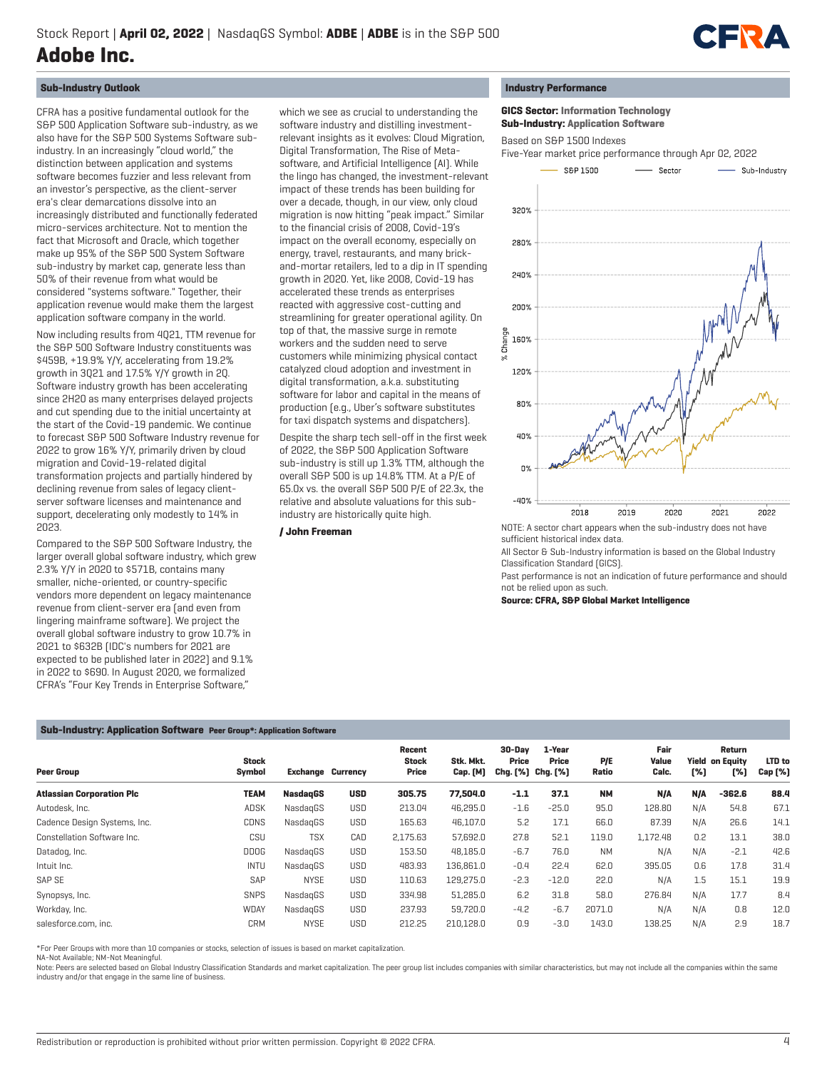

## **Sub-Industry Outlook**

CFRA has a positive fundamental outlook for the S&P 500 Application Software sub-industry, as we also have for the S&P 500 Systems Software subindustry. In an increasingly "cloud world," the distinction between application and systems software becomes fuzzier and less relevant from an investor's perspective, as the client-server era's clear demarcations dissolve into an increasingly distributed and functionally federated micro-services architecture. Not to mention the fact that Microsoft and Oracle, which together make up 95% of the S&P 500 System Software sub-industry by market cap, generate less than 50% of their revenue from what would be considered "systems software." Together, their application revenue would make them the largest application software company in the world.

Now including results from 4Q21, TTM revenue for the S&P 500 Software Industry constituents was \$459B, +19.9% Y/Y, accelerating from 19.2% growth in 3Q21 and 17.5% Y/Y growth in 2Q. Software industry growth has been accelerating since 2H20 as many enterprises delayed projects and cut spending due to the initial uncertainty at the start of the Covid-19 pandemic. We continue to forecast S&P 500 Software Industry revenue for 2022 to grow 16% Y/Y, primarily driven by cloud migration and Covid-19-related digital transformation projects and partially hindered by declining revenue from sales of legacy clientserver software licenses and maintenance and support, decelerating only modestly to 14% in 2023.

Compared to the S&P 500 Software Industry, the larger overall global software industry, which grew 2.3% Y/Y in 2020 to \$571B, contains many smaller, niche-oriented, or country-specific vendors more dependent on legacy maintenance revenue from client-server era (and even from lingering mainframe software). We project the overall global software industry to grow 10.7% in 2021 to \$632B (IDC's numbers for 2021 are expected to be published later in 2022) and 9.1% in 2022 to \$690. In August 2020, we formalized CFRA's "Four Key Trends in Enterprise Software,"

which we see as crucial to understanding the software industry and distilling investmentrelevant insights as it evolves: Cloud Migration, Digital Transformation, The Rise of Metasoftware, and Artificial Intelligence (AI). While the lingo has changed, the investment-relevant impact of these trends has been building for over a decade, though, in our view, only cloud migration is now hitting "peak impact." Similar to the financial crisis of 2008, Covid-19's impact on the overall economy, especially on energy, travel, restaurants, and many brickand-mortar retailers, led to a dip in IT spending growth in 2020. Yet, like 2008, Covid-19 has accelerated these trends as enterprises reacted with aggressive cost-cutting and streamlining for greater operational agility. On top of that, the massive surge in remote workers and the sudden need to serve customers while minimizing physical contact catalyzed cloud adoption and investment in digital transformation, a.k.a. substituting software for labor and capital in the means of production (e.g., Uber's software substitutes for taxi dispatch systems and dispatchers).

Despite the sharp tech sell-off in the first week of 2022, the S&P 500 Application Software sub-industry is still up 1.3% TTM, although the overall S&P 500 is up 14.8% TTM. At a P/E of 65.0x vs. the overall S&P 500 P/E of 22.3x, the relative and absolute valuations for this subindustry are historically quite high.

## **/ John Freeman**

#### **Industry Performance**

 **GICS Sector: Information Technology Sub-Industry: Application Software**

Based on S&P 1500 Indexes



sufficient historical index data.

All Sector & Sub-Industry information is based on the Global Industry Classification Standard (GICS).

Past performance is not an indication of future performance and should not be relied upon as such.

**Source: CFRA, S&P Global Market Intelligence**

#### **Sub-Industry: Application Software Peer Group\*: Application Software**

| <b>Peer Group</b>                | <b>Stock</b><br>Symbol | <b>Exchange Currency</b> |            | Recent<br><b>Stock</b><br>Price | Stk. Mkt.<br><b>Cap.</b> [M] | 30-Dav<br>Price<br>Chg. [%] Chg. [%] | 1-Year<br>Price | P/E<br>Ratio | Fair<br>Value<br>Calc. | [%] | Return<br><b>Yield on Equity</b><br>[%] | LTD to<br>Cap [%] |
|----------------------------------|------------------------|--------------------------|------------|---------------------------------|------------------------------|--------------------------------------|-----------------|--------------|------------------------|-----|-----------------------------------------|-------------------|
| <b>Atlassian Corporation Plc</b> | TEAM                   | <b>NasdagGS</b>          | <b>USD</b> | 305.75                          | 77,504.0                     | $-1.1$                               | 37.1            | <b>NM</b>    | N/A                    | N/A | $-362.6$                                | 88.4              |
| Autodesk, Inc.                   | <b>ADSK</b>            | NasdagGS                 | <b>USD</b> | 213.04                          | 46,295.0                     | $-1.6$                               | $-25.0$         | 95.0         | 128.80                 | N/A | 54.8                                    | 67.1              |
| Cadence Design Systems, Inc.     | <b>CDNS</b>            | NasdagGS                 | <b>USD</b> | 165.63                          | 46,107.0                     | 5.2                                  | 17.1            | 66.0         | 87.39                  | N/A | 26.6                                    | 14.1              |
| Constellation Software Inc.      | CSU                    | <b>TSX</b>               | CAD        | 2,175.63                        | 57,692.0                     | 27.8                                 | 52.1            | 119.0        | 1,172.48               | 0.2 | 13.1                                    | 38.0              |
| Datadog, Inc.                    | <b>DDOG</b>            | NasdagGS                 | <b>USD</b> | 153.50                          | 48,185.0                     | $-6.7$                               | 76.0            | <b>NM</b>    | N/A                    | N/A | $-2.1$                                  | 42.6              |
| Intuit Inc.                      | <b>INTU</b>            | NasdagGS                 | <b>USD</b> | 483.93                          | 136.861.0                    | $-0.4$                               | 22.4            | 62.0         | 395.05                 | 0.6 | 17.8                                    | 31.4              |
| SAP SE                           | SAP                    | <b>NYSE</b>              | <b>USD</b> | 110.63                          | 129.275.0                    | $-2.3$                               | $-12.0$         | 22.0         | N/A                    | 1.5 | 15.1                                    | 19.9              |
| Synopsys, Inc.                   | <b>SNPS</b>            | NasdagGS                 | <b>USD</b> | 334.98                          | 51,285.0                     | 6.2                                  | 31.8            | 58.0         | 276.84                 | N/A | 17.7                                    | 8.4               |
| Workday, Inc.                    | WDAY                   | NasdagGS                 | <b>USD</b> | 237.93                          | 59,720.0                     | $-4.2$                               | $-6.7$          | 2071.0       | N/A                    | N/A | 0.8                                     | 12.0              |
| salesforce.com, inc.             | <b>CRM</b>             | <b>NYSE</b>              | <b>USD</b> | 212.25                          | 210,128.0                    | 0.9                                  | $-3.0$          | 143.0        | 138.25                 | N/A | 2.9                                     | 18.7              |

\*For Peer Groups with more than 10 companies or stocks, selection of issues is based on market capitalization.

NA-Not Available; NM-Not Meaningful.

Note: Peers are selected based on Global Industry Classification Standards and market capitalization. The peer group list includes companies with similar characteristics, but may not include all the companies within the sa industry and/or that engage in the same line of business.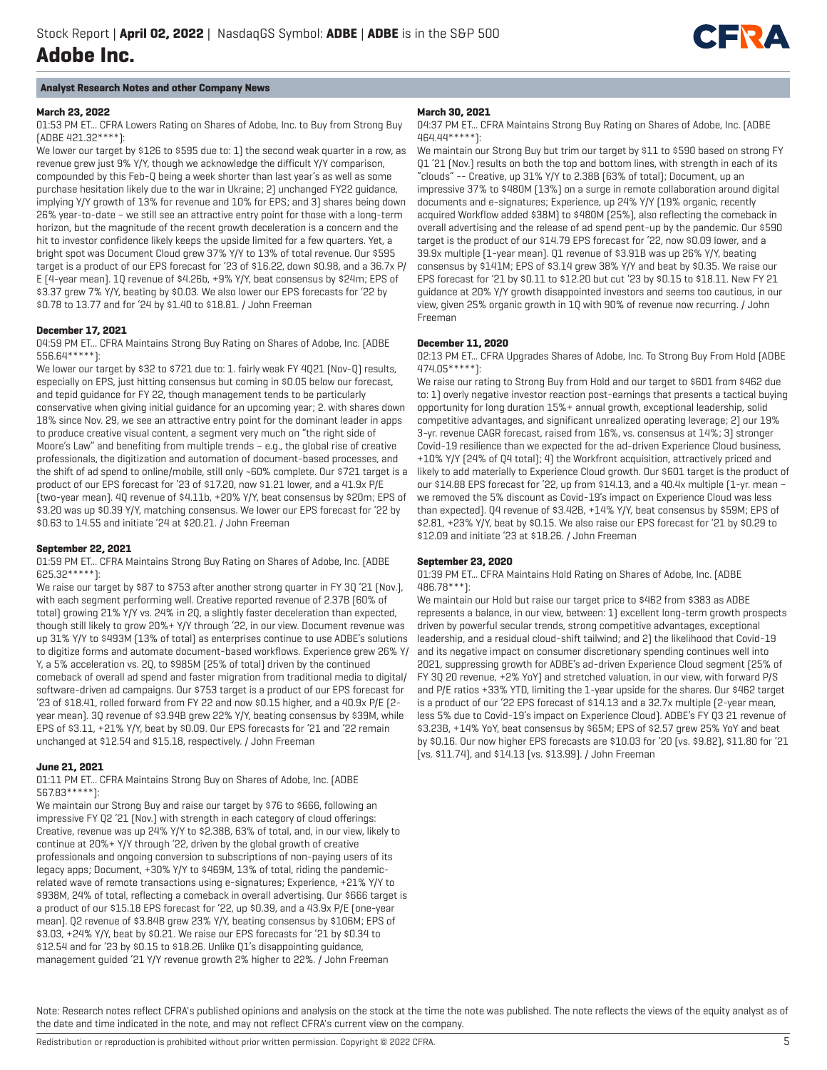

## **Analyst Research Notes and other Company News**

#### **March 23, 2022**

01:53 PM ET... CFRA Lowers Rating on Shares of Adobe, Inc. to Buy from Strong Buy (ADBE 421.32\*\*\*\*):

We lower our target by \$126 to \$595 due to: 1) the second weak quarter in a row, as revenue grew just 9% Y/Y, though we acknowledge the difficult Y/Y comparison, compounded by this Feb-Q being a week shorter than last year's as well as some purchase hesitation likely due to the war in Ukraine; 2) unchanged FY22 guidance, implying Y/Y growth of 13% for revenue and 10% for EPS; and 3) shares being down 26% year-to-date – we still see an attractive entry point for those with a long-term horizon, but the magnitude of the recent growth deceleration is a concern and the hit to investor confidence likely keeps the upside limited for a few quarters. Yet, a bright spot was Document Cloud grew 37% Y/Y to 13% of total revenue. Our \$595 target is a product of our EPS forecast for '23 of \$16.22, down \$0.98, and a 36.7x P/ E (4-year mean). 1Q revenue of \$4.26b, +9% Y/Y, beat consensus by \$24m; EPS of \$3.37 grew 7% Y/Y, beating by \$0.03. We also lower our EPS forecasts for '22 by \$0.78 to 13.77 and for '24 by \$1.40 to \$18.81. / John Freeman

#### **December 17, 2021**

04:59 PM ET... CFRA Maintains Strong Buy Rating on Shares of Adobe, Inc. (ADBE 556.64\*\*\*\*\*):

We lower our target by \$32 to \$721 due to: 1. fairly weak FY 4Q21 [Nov-Q] results, especially on EPS, just hitting consensus but coming in \$0.05 below our forecast, and tepid guidance for FY 22, though management tends to be particularly conservative when giving initial guidance for an upcoming year; 2. with shares down 18% since Nov. 29, we see an attractive entry point for the dominant leader in apps to produce creative visual content, a segment very much on "the right side of Moore's Law" and benefiting from multiple trends – e.g., the global rise of creative professionals, the digitization and automation of document-based processes, and the shift of ad spend to online/mobile, still only ~60% complete. Our \$721 target is a product of our EPS forecast for '23 of \$17.20, now \$1.21 lower, and a 41.9x P/E (two-year mean). 4Q revenue of \$4.11b, +20% Y/Y, beat consensus by \$20m; EPS of \$3.20 was up \$0.39 Y/Y, matching consensus. We lower our EPS forecast for '22 by \$0.63 to 14.55 and initiate '24 at \$20.21. / John Freeman

#### **September 22, 2021**

01:59 PM ET... CFRA Maintains Strong Buy Rating on Shares of Adobe, Inc. (ADBE 625.32\*\*\*\*\*):

We raise our target by \$87 to \$753 after another strong quarter in FY 3Q '21 [Nov.], with each segment performing well. Creative reported revenue of 2.37B (60% of total) growing 21% Y/Y vs. 24% in 2Q, a slightly faster deceleration than expected, though still likely to grow 20%+ Y/Y through '22, in our view. Document revenue was up 31% Y/Y to \$493M (13% of total) as enterprises continue to use ADBE's solutions to digitize forms and automate document-based workflows. Experience grew 26% Y/ Y, a 5% acceleration vs. 2Q, to \$985M (25% of total) driven by the continued comeback of overall ad spend and faster migration from traditional media to digital/ software-driven ad campaigns. Our \$753 target is a product of our EPS forecast for '23 of \$18.41, rolled forward from FY 22 and now \$0.15 higher, and a 40.9x P/E (2 year mean). 3Q revenue of \$3.94B grew 22% Y/Y, beating consensus by \$39M, while EPS of \$3.11, +21% Y/Y, beat by \$0.09. Our EPS forecasts for '21 and '22 remain unchanged at \$12.54 and \$15.18, respectively. / John Freeman

#### **June 21, 2021**

01:11 PM ET... CFRA Maintains Strong Buy on Shares of Adobe, Inc. (ADBE 567.83\*\*\*\*\*):

We maintain our Strong Buy and raise our target by \$76 to \$666, following an impressive FY Q2 '21 (Nov.) with strength in each category of cloud offerings: Creative, revenue was up 24% Y/Y to \$2.38B, 63% of total, and, in our view, likely to continue at 20%+ Y/Y through '22, driven by the global growth of creative professionals and ongoing conversion to subscriptions of non-paying users of its legacy apps; Document, +30% Y/Y to \$469M, 13% of total, riding the pandemicrelated wave of remote transactions using e-signatures; Experience, +21% Y/Y to \$938M, 24% of total, reflecting a comeback in overall advertising. Our \$666 target is a product of our \$15.18 EPS forecast for '22, up \$0.39, and a 43.9x P/E (one-year mean). Q2 revenue of \$3.84B grew 23% Y/Y, beating consensus by \$106M; EPS of \$3.03, +24% Y/Y, beat by \$0.21. We raise our EPS forecasts for '21 by \$0.34 to \$12.54 and for '23 by \$0.15 to \$18.26. Unlike Q1's disappointing guidance, management guided '21 Y/Y revenue growth 2% higher to 22%. / John Freeman

#### **March 30, 2021**

04:37 PM ET... CFRA Maintains Strong Buy Rating on Shares of Adobe, Inc. (ADBE 464.44\*\*\*\*\*):

We maintain our Strong Buy but trim our target by \$11 to \$590 based on strong FY Q1 '21 (Nov.) results on both the top and bottom lines, with strength in each of its "clouds" -- Creative, up 31% Y/Y to 2.38B (63% of total); Document, up an impressive 37% to \$480M (13%) on a surge in remote collaboration around digital documents and e-signatures; Experience, up 24% Y/Y (19% organic, recently acquired Workflow added \$38M) to \$480M (25%), also reflecting the comeback in overall advertising and the release of ad spend pent-up by the pandemic. Our \$590 target is the product of our \$14.79 EPS forecast for '22, now \$0.09 lower, and a 39.9x multiple (1-year mean). Q1 revenue of \$3.91B was up 26% Y/Y, beating consensus by \$141M; EPS of \$3.14 grew 38% Y/Y and beat by \$0.35. We raise our EPS forecast for '21 by \$0.11 to \$12.20 but cut '23 by \$0.15 to \$18.11. New FY 21 guidance at 20% Y/Y growth disappointed investors and seems too cautious, in our view, given 25% organic growth in 1Q with 90% of revenue now recurring. / John Freeman

#### **December 11, 2020**

02:13 PM ET... CFRA Upgrades Shares of Adobe, Inc. To Strong Buy From Hold (ADBE 474.05\*\*\*\*\*):

We raise our rating to Strong Buy from Hold and our target to \$601 from \$462 due to: 1) overly negative investor reaction post-earnings that presents a tactical buying opportunity for long duration 15%+ annual growth, exceptional leadership, solid competitive advantages, and significant unrealized operating leverage; 2) our 19% 3-yr. revenue CAGR forecast, raised from 16%, vs. consensus at 14%; 3) stronger Covid-19 resilience than we expected for the ad-driven Experience Cloud business, +10% Y/Y (24% of Q4 total); 4) the Workfront acquisition, attractively priced and likely to add materially to Experience Cloud growth. Our \$601 target is the product of our \$14.88 EPS forecast for '22, up from \$14.13, and a 40.4x multiple (1-yr. mean – we removed the 5% discount as Covid-19's impact on Experience Cloud was less than expected). Q4 revenue of \$3.42B, +14% Y/Y, beat consensus by \$59M; EPS of \$2.81, +23% Y/Y, beat by \$0.15. We also raise our EPS forecast for '21 by \$0.29 to \$12.09 and initiate '23 at \$18.26. / John Freeman

## **September 23, 2020**

01:39 PM ET... CFRA Maintains Hold Rating on Shares of Adobe, Inc. (ADBE 486.78\*\*\*):

We maintain our Hold but raise our target price to \$462 from \$383 as ADBE represents a balance, in our view, between: 1) excellent long-term growth prospects driven by powerful secular trends, strong competitive advantages, exceptional leadership, and a residual cloud-shift tailwind; and 2) the likelihood that Covid-19 and its negative impact on consumer discretionary spending continues well into 2021, suppressing growth for ADBE's ad-driven Experience Cloud segment (25% of FY 3Q 20 revenue, +2% YoY) and stretched valuation, in our view, with forward P/S and P/E ratios +33% YTD, limiting the 1-year upside for the shares. Our \$462 target is a product of our '22 EPS forecast of \$14.13 and a 32.7x multiple (2-year mean, less 5% due to Covid-19's impact on Experience Cloud). ADBE's FY Q3 21 revenue of \$3.23B, +14% YoY, beat consensus by \$65M; EPS of \$2.57 grew 25% YoY and beat by \$0.16. Our now higher EPS forecasts are \$10.03 for '20 (vs. \$9.82), \$11.80 for '21 (vs. \$11.74), and \$14.13 (vs. \$13.99). / John Freeman

Note: Research notes reflect CFRA's published opinions and analysis on the stock at the time the note was published. The note reflects the views of the equity analyst as of the date and time indicated in the note, and may not reflect CFRA's current view on the company.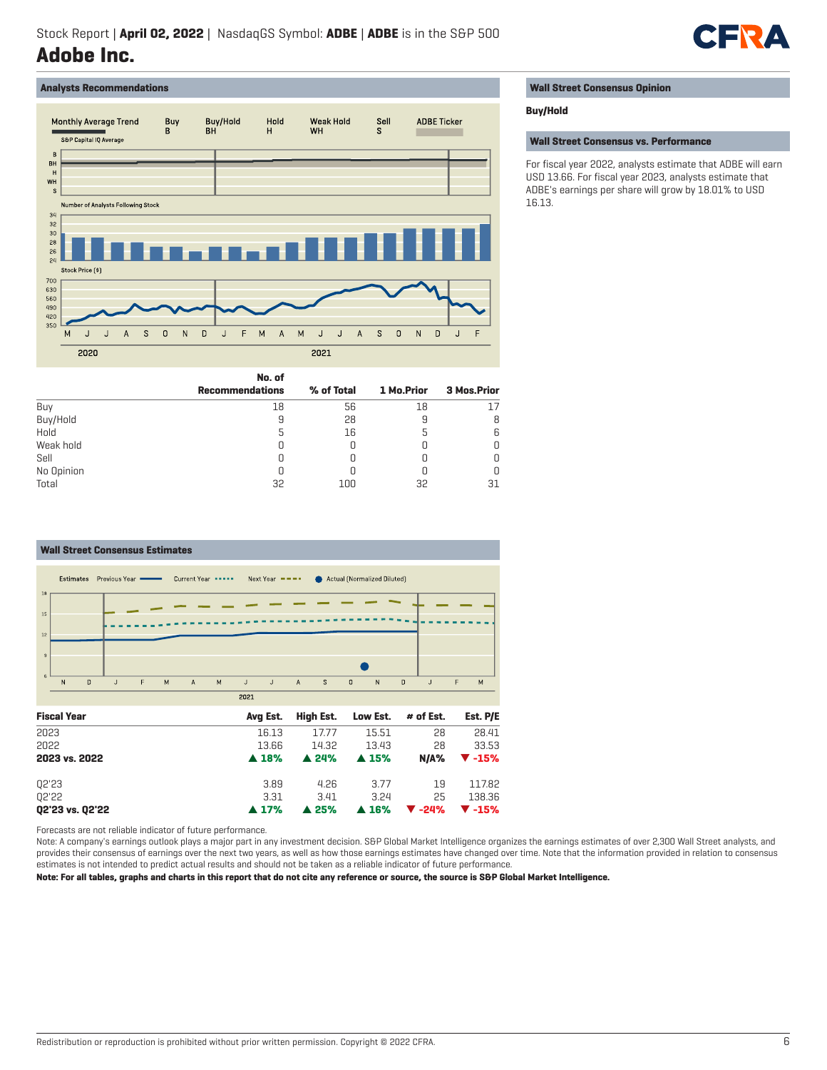

## **Analysts Recommendations**



|  |  |  |  | <b>Wall Street Consensus Opinion</b> |  |
|--|--|--|--|--------------------------------------|--|
|--|--|--|--|--------------------------------------|--|

#### **Buy/Hold**

**Wall Street Consensus vs. Performance**

For fiscal year 2022, analysts estimate that ADBE will earn USD 13.66. For fiscal year 2023, analysts estimate that ADBE's earnings per share will grow by 18.01% to USD 16.13.

|            | No. of                 |            |            |             |
|------------|------------------------|------------|------------|-------------|
|            | <b>Recommendations</b> | % of Total | 1 Mo.Prior | 3 Mos.Prior |
| Buy        | 18                     | 56         | 18         | 17          |
| Buy/Hold   |                        | 28         | У          | 8           |
| Hold       |                        | 16         |            | 6           |
| Weak hold  |                        |            |            | 0           |
| Sell       |                        |            |            | 0           |
| No Opinion |                        |            |            | 0           |
| Total      | 32                     | 100        | 32         | 31          |

#### **Wall Street Consensus Estimates** Estimates Previous Year Current Year \*\*\*\*\* Actual (Normalized Diluted) Next Year  $\equiv$   $\equiv$   $\equiv$   $\equiv$  $18$ 15  $\overline{N}$  $\overline{\mathbf{D}}$  $\overline{M}$  $\overline{\mathbf{A}}$  $\overline{M}$  $\overline{A}$  $\overline{s}$  $\overline{0}$  $\overline{D}$  $\overline{M}$  $\overline{1}$ F  $\mathsf{J}$  $\mathsf{J}$ N  $\overline{1}$  $\frac{1}{2021}$ **Fiscal Year Avg Est. High Est. Low Est. # of Est. Est. P/E** 2023 16.13 17.77 15.51 28 28.41 2022 13.66 14.32 13.43 28 33.53 **2023 vs. 2022** *2023 vs. 2022* **<b>***248%* **4 24% 4 15% N/A%**  $\blacktriangledown$  **-15%** Q2'23 3.89 4.26 3.77 19 117.82 Q2'22 3.31 3.41 3.24 25 138.36 **Q2'23 vs. Q2'22** p **17%** p **25%** p **16%** q **-24%** q **-15%**

Forecasts are not reliable indicator of future performance.

Note: A company's earnings outlook plays a major part in any investment decision. S&P Global Market Intelligence organizes the earnings estimates of over 2,300 Wall Street analysts, and provides their consensus of earnings over the next two years, as well as how those earnings estimates have changed over time. Note that the information provided in relation to consensus estimates is not intended to predict actual results and should not be taken as a reliable indicator of future performance.

**Note: For all tables, graphs and charts in this report that do not cite any reference or source, the source is S&P Global Market Intelligence.**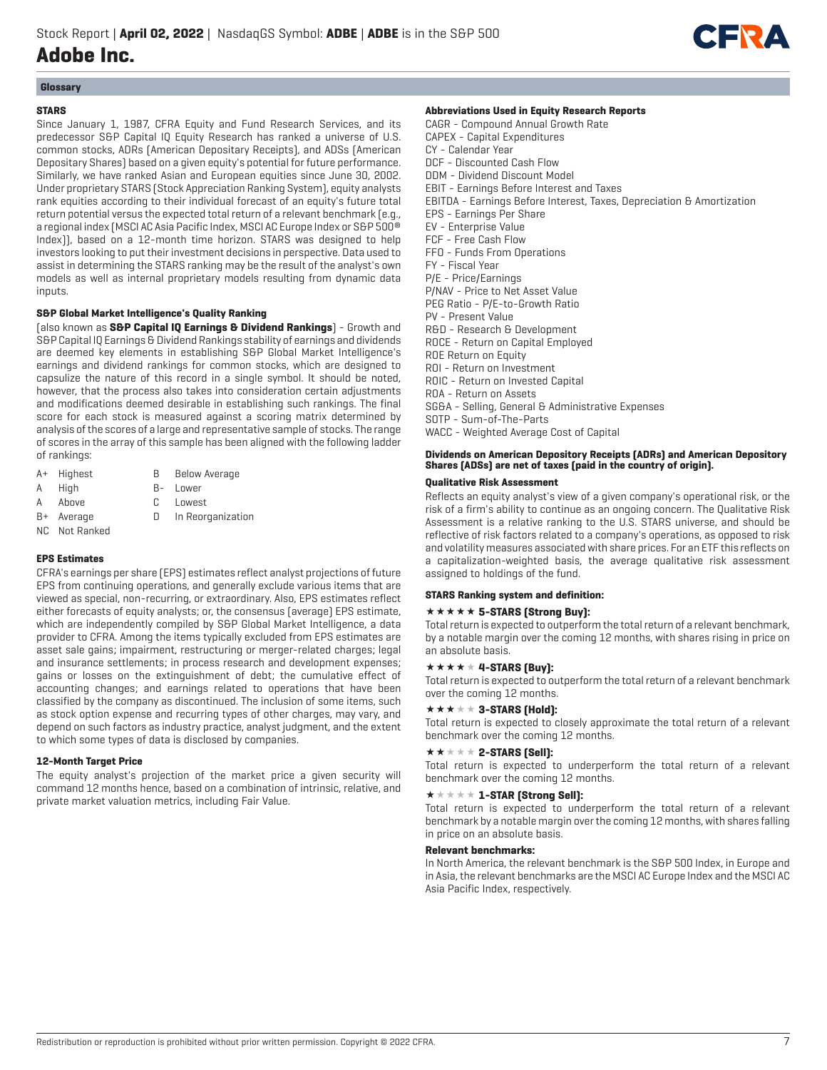

# **Glossary**

## **STARS**

Since January 1, 1987, CFRA Equity and Fund Research Services, and its predecessor S&P Capital IQ Equity Research has ranked a universe of U.S. common stocks, ADRs (American Depositary Receipts), and ADSs (American Depositary Shares) based on a given equity's potential for future performance. Similarly, we have ranked Asian and European equities since June 30, 2002. Under proprietary STARS (Stock Appreciation Ranking System), equity analysts rank equities according to their individual forecast of an equity's future total return potential versus the expected total return of a relevant benchmark (e.g., a regional index (MSCI AC Asia Pacific Index, MSCI AC Europe Index or S&P 500® Index)), based on a 12-month time horizon. STARS was designed to help investors looking to put their investment decisions in perspective. Data used to assist in determining the STARS ranking may be the result of the analyst's own models as well as internal proprietary models resulting from dynamic data inputs.

## **S&P Global Market Intelligence's Quality Ranking**

(also known as **S&P Capital IQ Earnings & Dividend Rankings**) - Growth and S&P Capital IQ Earnings & Dividend Rankings stability of earnings and dividends are deemed key elements in establishing S&P Global Market Intelligence's earnings and dividend rankings for common stocks, which are designed to capsulize the nature of this record in a single symbol. It should be noted, however, that the process also takes into consideration certain adjustments and modifications deemed desirable in establishing such rankings. The final score for each stock is measured against a scoring matrix determined by analysis of the scores of a large and representative sample of stocks. The range of scores in the array of this sample has been aligned with the following ladder of rankings:

- A+ Highest B Below Average
- A High B- Lower
- A Above C Lowest
- 
- B+ Average D In Reorganization
- NC Not Ranked

## **EPS Estimates**

CFRA's earnings per share (EPS) estimates reflect analyst projections of future EPS from continuing operations, and generally exclude various items that are viewed as special, non-recurring, or extraordinary. Also, EPS estimates reflect either forecasts of equity analysts; or, the consensus (average) EPS estimate, which are independently compiled by S&P Global Market Intelligence, a data provider to CFRA. Among the items typically excluded from EPS estimates are asset sale gains; impairment, restructuring or merger-related charges; legal and insurance settlements; in process research and development expenses; gains or losses on the extinguishment of debt; the cumulative effect of accounting changes; and earnings related to operations that have been classified by the company as discontinued. The inclusion of some items, such as stock option expense and recurring types of other charges, may vary, and depend on such factors as industry practice, analyst judgment, and the extent to which some types of data is disclosed by companies.

## **12-Month Target Price**

The equity analyst's projection of the market price a given security will command 12 months hence, based on a combination of intrinsic, relative, and private market valuation metrics, including Fair Value.

#### **Abbreviations Used in Equity Research Reports**

CAGR - Compound Annual Growth Rate CAPEX - Capital Expenditures CY - Calendar Year DCF - Discounted Cash Flow DDM - Dividend Discount Model EBIT - Earnings Before Interest and Taxes EBITDA - Earnings Before Interest, Taxes, Depreciation & Amortization EPS - Earnings Per Share EV - Enterprise Value FCF - Free Cash Flow FFO - Funds From Operations FY - Fiscal Year P/E - Price/Earnings P/NAV - Price to Net Asset Value PEG Ratio - P/E-to-Growth Ratio PV - Present Value R&D - Research & Development ROCE - Return on Capital Employed ROE Return on Equity ROI - Return on Investment ROIC - Return on Invested Capital ROA - Return on Assets SG&A - Selling, General & Administrative Expenses SOTP - Sum-of-The-Parts WACC - Weighted Average Cost of Capital

## **Dividends on American Depository Receipts (ADRs) and American Depository Shares (ADSs) are net of taxes (paid in the country of origin).**

## **Qualitative Risk Assessment**

Reflects an equity analyst's view of a given company's operational risk, or the risk of a firm's ability to continue as an ongoing concern. The Qualitative Risk Assessment is a relative ranking to the U.S. STARS universe, and should be reflective of risk factors related to a company's operations, as opposed to risk and volatility measures associated with share prices. For an ETF this reflects on a capitalization-weighted basis, the average qualitative risk assessment assigned to holdings of the fund.

## **STARS Ranking system and definition:**

#### **\*\*\*\*\* 5-STARS (Strong Buy):**

Total return is expected to outperform the total return of a relevant benchmark, by a notable margin over the coming 12 months, with shares rising in price on an absolute basis.

## $\star \star \star \star \star 4$ -STARS [Buy]:

Total return is expected to outperform the total return of a relevant benchmark over the coming 12 months.

# $\star \star \star \star \star 3$ -STARS (Hold):

Total return is expected to closely approximate the total return of a relevant benchmark over the coming 12 months.

#### $\star\star\star\star\star$  2-STARS [Sell]:

Total return is expected to underperform the total return of a relevant benchmark over the coming 12 months.

## $\star \star \star \star \star \mathbf{1}$ -STAR (Strong Sell):

Total return is expected to underperform the total return of a relevant benchmark by a notable margin over the coming 12 months, with shares falling in price on an absolute basis.

#### **Relevant benchmarks:**

In North America, the relevant benchmark is the S&P 500 Index, in Europe and in Asia, the relevant benchmarks are the MSCI AC Europe Index and the MSCI AC Asia Pacific Index, respectively.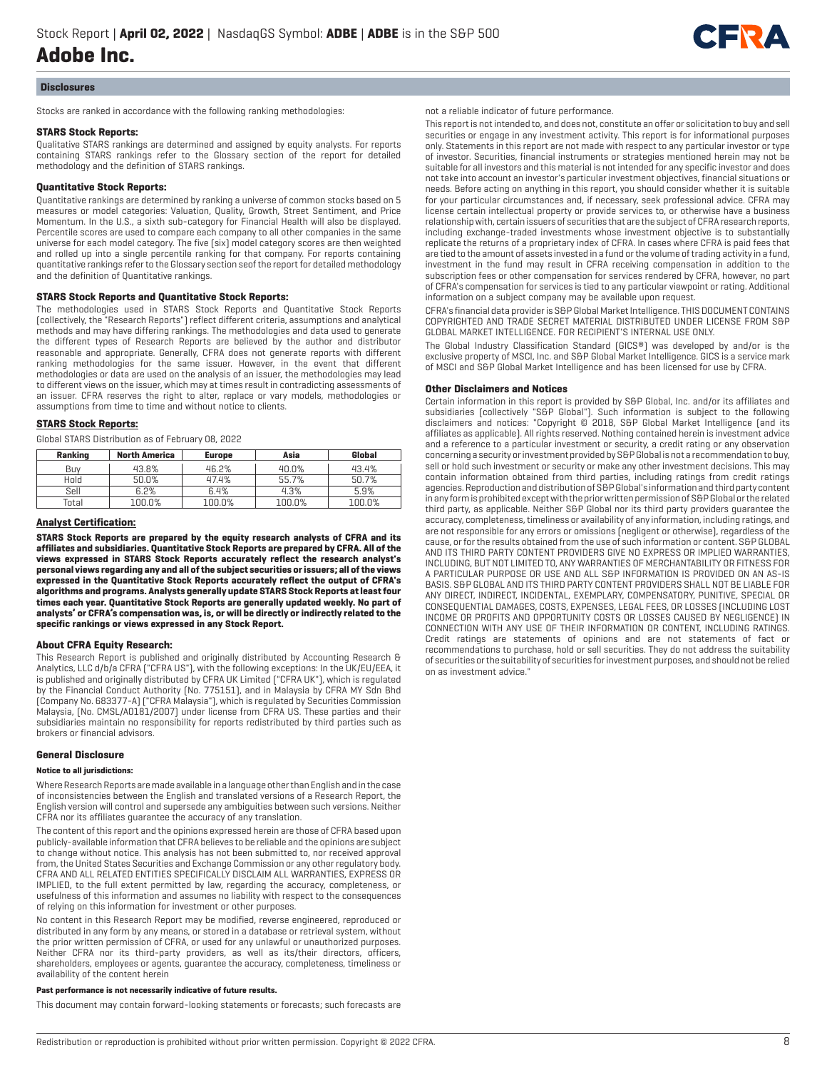

#### **Disclosures**

Stocks are ranked in accordance with the following ranking methodologies:

#### **STARS Stock Reports:**

Qualitative STARS rankings are determined and assigned by equity analysts. For reports containing STARS rankings refer to the Glossary section of the report for detailed methodology and the definition of STARS rankings.

#### **Quantitative Stock Reports:**

Quantitative rankings are determined by ranking a universe of common stocks based on 5 measures or model categories: Valuation, Quality, Growth, Street Sentiment, and Price Momentum. In the U.S., a sixth sub-category for Financial Health will also be displayed. Percentile scores are used to compare each company to all other companies in the same universe for each model category. The five (six) model category scores are then weighted and rolled up into a single percentile ranking for that company. For reports containing quantitative rankings refer to the Glossary section seof the report for detailed methodology and the definition of Quantitative rankings.

## **STARS Stock Reports and Quantitative Stock Reports:**

The methodologies used in STARS Stock Reports and Quantitative Stock Reports (collectively, the "Research Reports") reflect different criteria, assumptions and analytical methods and may have differing rankings. The methodologies and data used to generate the different types of Research Reports are believed by the author and distributor reasonable and appropriate. Generally, CFRA does not generate reports with different ranking methodologies for the same issuer. However, in the event that different methodologies or data are used on the analysis of an issuer, the methodologies may lead to different views on the issuer, which may at times result in contradicting assessments of an issuer. CFRA reserves the right to alter, replace or vary models, methodologies or assumptions from time to time and without notice to clients.

#### **STARS Stock Reports:**

Global STARS Distribution as of February 08, 2022

| Ranking | <b>North America</b> | <b>Europe</b> | Asia   | Global |
|---------|----------------------|---------------|--------|--------|
| Buv     | 43.8%                | 46.2%         | 40.0%  | 43.4%  |
| Hold    | 50.0%                | 47.4%         | 55.7%  | 50.7%  |
| Sell    | 6.2%                 | 6.4%          | 4.3%   | 5.9%   |
| Total   | 100.0%               | 100.0%        | 100.0% | 100.0% |

#### **Analyst Certification:**

**STARS Stock Reports are prepared by the equity research analysts of CFRA and its affiliates and subsidiaries. Quantitative Stock Reports are prepared by CFRA. All of the views expressed in STARS Stock Reports accurately reflect the research analyst's personal views regarding any and all of the subject securities or issuers; all of the views expressed in the Quantitative Stock Reports accurately reflect the output of CFRA's algorithms and programs. Analysts generally update STARS Stock Reports at least four times each year. Quantitative Stock Reports are generally updated weekly. No part of analysts' or CFRA's compensation was, is, or will be directly or indirectly related to the specific rankings or views expressed in any Stock Report.**

#### **About CFRA Equity Research:**

This Research Report is published and originally distributed by Accounting Research & Analytics, LLC d/b/a CFRA ("CFRA US"), with the following exceptions: In the UK/EU/EEA, it is published and originally distributed by CFRA UK Limited ("CFRA UK"), which is regulated by the Financial Conduct Authority (No. 775151), and in Malaysia by CFRA MY Sdn Bhd (Company No. 683377-A) ("CFRA Malaysia"), which is regulated by Securities Commission Malaysia, (No. CMSL/A0181/2007) under license from CFRA US. These parties and their subsidiaries maintain no responsibility for reports redistributed by third parties such as brokers or financial advisors.

#### **General Disclosure**

#### **Notice to all jurisdictions:**

Where Research Reports are made available in a language other than English and in the case of inconsistencies between the English and translated versions of a Research Report, the English version will control and supersede any ambiguities between such versions. Neither CFRA nor its affiliates guarantee the accuracy of any translation.

The content of this report and the opinions expressed herein are those of CFRA based upon publicly-available information that CFRA believes to be reliable and the opinions are subject to change without notice. This analysis has not been submitted to, nor received approval from, the United States Securities and Exchange Commission or any other regulatory body. CFRA AND ALL RELATED ENTITIES SPECIFICALLY DISCLAIM ALL WARRANTIES, EXPRESS OR IMPLIED, to the full extent permitted by law, regarding the accuracy, completeness, or usefulness of this information and assumes no liability with respect to the consequences of relying on this information for investment or other purposes.

No content in this Research Report may be modified, reverse engineered, reproduced or distributed in any form by any means, or stored in a database or retrieval system, without the prior written permission of CFRA, or used for any unlawful or unauthorized purposes. Neither CFRA nor its third-party providers, as well as its/their directors, officers, shareholders, employees or agents, guarantee the accuracy, completeness, timeliness or availability of the content herein

#### **Past performance is not necessarily indicative of future results.**

This document may contain forward-looking statements or forecasts; such forecasts are

## not a reliable indicator of future performance.

This report is not intended to, and does not, constitute an offer or solicitation to buy and sell securities or engage in any investment activity. This report is for informational purposes only. Statements in this report are not made with respect to any particular investor or type of investor. Securities, financial instruments or strategies mentioned herein may not be suitable for all investors and this material is not intended for any specific investor and does not take into account an investor's particular investment objectives, financial situations or needs. Before acting on anything in this report, you should consider whether it is suitable for your particular circumstances and, if necessary, seek professional advice. CFRA may license certain intellectual property or provide services to, or otherwise have a business relationship with, certain issuers of securities that are the subject of CFRA research reports, including exchange-traded investments whose investment objective is to substantially replicate the returns of a proprietary index of CFRA. In cases where CFRA is paid fees that are tied to the amount of assets invested in a fund or the volume of trading activity in a fund, investment in the fund may result in CFRA receiving compensation in addition to the subscription fees or other compensation for services rendered by CFRA, however, no part of CFRA's compensation for services is tied to any particular viewpoint or rating. Additional information on a subject company may be available upon request.

CFRA's financial data provider is S&P Global Market Intelligence. THIS DOCUMENT CONTAINS COPYRIGHTED AND TRADE SECRET MATERIAL DISTRIBUTED UNDER LICENSE FROM S&P GLOBAL MARKET INTELLIGENCE. FOR RECIPIENT'S INTERNAL USE ONLY.

The Global Industry Classification Standard (GICS®) was developed by and/or is the exclusive property of MSCI, Inc. and S&P Global Market Intelligence. GICS is a service mark of MSCI and S&P Global Market Intelligence and has been licensed for use by CFRA.

#### **Other Disclaimers and Notices**

Certain information in this report is provided by S&P Global, Inc. and/or its affiliates and subsidiaries (collectively "S&P Global"). Such information is subject to the following disclaimers and notices: "Copyright © 2018, S&P Global Market Intelligence (and its affiliates as applicable). All rights reserved. Nothing contained herein is investment advice and a reference to a particular investment or security, a credit rating or any observation concerning a security or investment provided by S&P Global is not a recommendation to buy, sell or hold such investment or security or make any other investment decisions. This may contain information obtained from third parties, including ratings from credit ratings agencies. Reproduction and distribution of S&P Global's information and third party content in any form is prohibited except with the prior written permission of S&P Global or the related third party, as applicable. Neither S&P Global nor its third party providers guarantee the accuracy, completeness, timeliness or availability of any information, including ratings, and are not responsible for any errors or omissions (negligent or otherwise), regardless of the cause, or for the results obtained from the use of such information or content. S&P GLOBAL AND ITS THIRD PARTY CONTENT PROVIDERS GIVE NO EXPRESS OR IMPLIED WARRANTIES, INCLUDING, BUT NOT LIMITED TO, ANY WARRANTIES OF MERCHANTABILITY OR FITNESS FOR A PARTICULAR PURPOSE OR USE AND ALL S&P INFORMATION IS PROVIDED ON AN AS-IS BASIS. S&P GLOBAL AND ITS THIRD PARTY CONTENT PROVIDERS SHALL NOT BE LIABLE FOR ANY DIRECT, INDIRECT, INCIDENTAL, EXEMPLARY, COMPENSATORY, PUNITIVE, SPECIAL OR CONSEQUENTIAL DAMAGES, COSTS, EXPENSES, LEGAL FEES, OR LOSSES (INCLUDING LOST INCOME OR PROFITS AND OPPORTUNITY COSTS OR LOSSES CAUSED BY NEGLIGENCE) IN CONNECTION WITH ANY USE OF THEIR INFORMATION OR CONTENT, INCLUDING RATINGS. Credit ratings are statements of opinions and are not statements of fact or recommendations to purchase, hold or sell securities. They do not address the suitability of securities or the suitability of securities for investment purposes, and should not be relied on as investment advice."